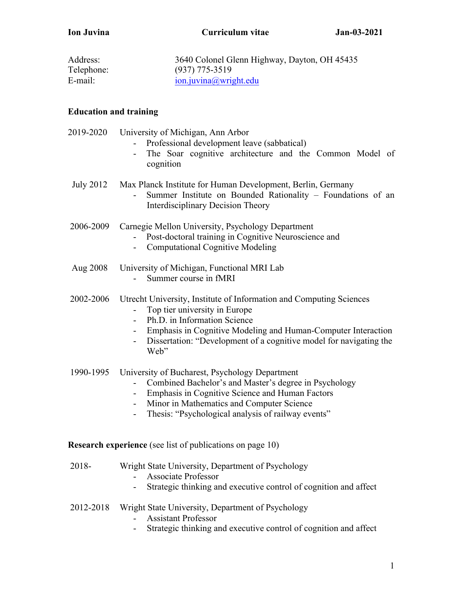**Ion Juvina Curriculum vitae Jan-03-2021**

| Address:   | 3640 Colonel Glenn Highway, Dayton, OH 45435 |
|------------|----------------------------------------------|
| Telephone: | $(937)$ 775-3519                             |
| E-mail:    | $ion.$ juvina@wright.edu                     |

# **Education and training**

| 2019-2020 | University of Michigan, Ann Arbor<br>Professional development leave (sabbatical)<br>The Soar cognitive architecture and the Common Model of<br>cognition                                                                                                                                      |
|-----------|-----------------------------------------------------------------------------------------------------------------------------------------------------------------------------------------------------------------------------------------------------------------------------------------------|
| July 2012 | Max Planck Institute for Human Development, Berlin, Germany<br>Summer Institute on Bounded Rationality - Foundations of an<br><b>Interdisciplinary Decision Theory</b>                                                                                                                        |
| 2006-2009 | Carnegie Mellon University, Psychology Department<br>Post-doctoral training in Cognitive Neuroscience and<br><b>Computational Cognitive Modeling</b><br>$\sim$                                                                                                                                |
| Aug 2008  | University of Michigan, Functional MRI Lab<br>Summer course in fMRI                                                                                                                                                                                                                           |
| 2002-2006 | Utrecht University, Institute of Information and Computing Sciences<br>Top tier university in Europe<br>Ph.D. in Information Science<br>$\sim$<br>Emphasis in Cognitive Modeling and Human-Computer Interaction<br>Dissertation: "Development of a cognitive model for navigating the<br>Web" |
| 1990-1995 | University of Bucharest, Psychology Department<br>Combined Bachelor's and Master's degree in Psychology<br>Emphasis in Cognitive Science and Human Factors<br>$\sim$<br>Minor in Mathematics and Computer Science<br>$\sim$<br>Thesis: "Psychological analysis of railway events"             |
|           | <b>Research experience</b> (see list of publications on page 10)                                                                                                                                                                                                                              |
| 2018-     | Wright State University, Department of Psychology<br><b>Associate Professor</b><br>Strategic thinking and executive control of cognition and affect                                                                                                                                           |
| 2012-2018 | Wright State University, Department of Psychology<br><b>Assistant Professor</b>                                                                                                                                                                                                               |

- Strategic thinking and executive control of cognition and affect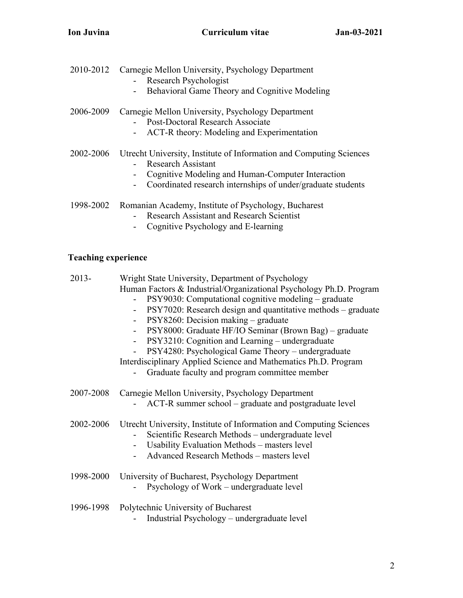- 2010-2012 Carnegie Mellon University, Psychology Department - Research Psychologist
	- Behavioral Game Theory and Cognitive Modeling

# 2006-2009 Carnegie Mellon University, Psychology Department - Post-Doctoral Research Associate

- ACT-R theory: Modeling and Experimentation

# 2002-2006 Utrecht University, Institute of Information and Computing Sciences - Research Assistant

- Cognitive Modeling and Human-Computer Interaction
- Coordinated research internships of under/graduate students
- 1998-2002 Romanian Academy, Institute of Psychology, Bucharest
	- Research Assistant and Research Scientist
	- Cognitive Psychology and E-learning

## **Teaching experience**

| $2013 -$  | Wright State University, Department of Psychology<br>Human Factors & Industrial/Organizational Psychology Ph.D. Program<br>PSY9030: Computational cognitive modeling – graduate<br>PSY7020: Research design and quantitative methods – graduate<br>$\blacksquare$<br>PSY8260: Decision making – graduate<br>$\blacksquare$<br>PSY8000: Graduate HF/IO Seminar (Brown Bag) - graduate<br>PSY3210: Cognition and Learning – undergraduate<br>PSY4280: Psychological Game Theory – undergraduate<br>Interdisciplinary Applied Science and Mathematics Ph.D. Program<br>Graduate faculty and program committee member |
|-----------|-------------------------------------------------------------------------------------------------------------------------------------------------------------------------------------------------------------------------------------------------------------------------------------------------------------------------------------------------------------------------------------------------------------------------------------------------------------------------------------------------------------------------------------------------------------------------------------------------------------------|
| 2007-2008 | Carnegie Mellon University, Psychology Department<br>ACT-R summer school – graduate and postgraduate level                                                                                                                                                                                                                                                                                                                                                                                                                                                                                                        |
| 2002-2006 | Utrecht University, Institute of Information and Computing Sciences<br>Scientific Research Methods – undergraduate level<br>Usability Evaluation Methods – masters level<br>Advanced Research Methods - masters level                                                                                                                                                                                                                                                                                                                                                                                             |
| 1998-2000 | University of Bucharest, Psychology Department<br>Psychology of Work – undergraduate level                                                                                                                                                                                                                                                                                                                                                                                                                                                                                                                        |
| 1996-1998 | Polytechnic University of Bucharest<br>$\mathbf{r}$ and $\mathbf{r}$ and $\mathbf{r}$                                                                                                                                                                                                                                                                                                                                                                                                                                                                                                                             |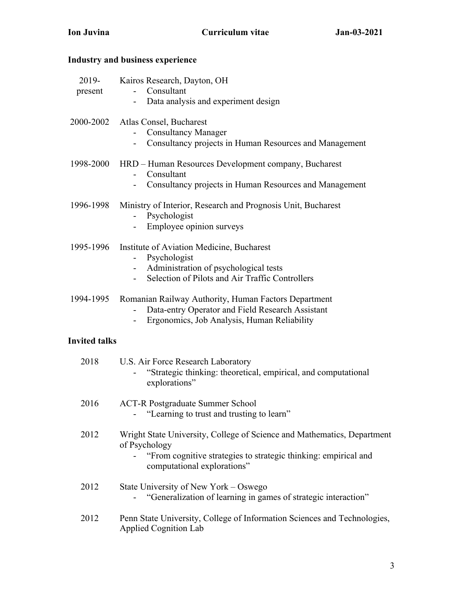# **Ion Juvina Curriculum vitae Jan-03-2021**

# **Industry and business experience**

| 2019-<br>present     | Kairos Research, Dayton, OH<br>Consultant<br>Data analysis and experiment design<br>$\overline{\phantom{0}}$                                                                               |
|----------------------|--------------------------------------------------------------------------------------------------------------------------------------------------------------------------------------------|
| 2000-2002            | Atlas Consel, Bucharest<br><b>Consultancy Manager</b><br>Consultancy projects in Human Resources and Management<br>$\sim$ 10 $\pm$                                                         |
| 1998-2000            | HRD - Human Resources Development company, Bucharest<br>Consultant<br>Consultancy projects in Human Resources and Management                                                               |
| 1996-1998            | Ministry of Interior, Research and Prognosis Unit, Bucharest<br>Psychologist<br>Employee opinion surveys                                                                                   |
| 1995-1996            | Institute of Aviation Medicine, Bucharest<br>Psychologist<br>Administration of psychological tests<br>Selection of Pilots and Air Traffic Controllers<br>$\sim$                            |
| 1994-1995            | Romanian Railway Authority, Human Factors Department<br>Data-entry Operator and Field Research Assistant<br>Ergonomics, Job Analysis, Human Reliability                                    |
| <b>Invited talks</b> |                                                                                                                                                                                            |
| 2018                 | U.S. Air Force Research Laboratory<br>"Strategic thinking: theoretical, empirical, and computational<br>explorations"                                                                      |
| 2016                 | <b>ACT-R Postgraduate Summer School</b><br>"Learning to trust and trusting to learn"                                                                                                       |
| 2012                 | Wright State University, College of Science and Mathematics, Department<br>of Psychology<br>"From cognitive strategies to strategic thinking: empirical and<br>computational explorations" |

- 2012 State University of New York Oswego - "Generalization of learning in games of strategic interaction"
- 2012 Penn State University, College of Information Sciences and Technologies, Applied Cognition Lab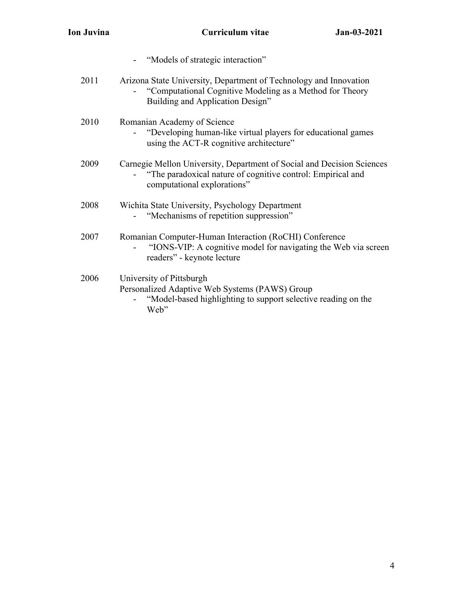|      | "Models of strategic interaction"                                                                                                                                    |
|------|----------------------------------------------------------------------------------------------------------------------------------------------------------------------|
| 2011 | Arizona State University, Department of Technology and Innovation<br>"Computational Cognitive Modeling as a Method for Theory<br>Building and Application Design"    |
| 2010 | Romanian Academy of Science<br>"Developing human-like virtual players for educational games<br>using the ACT-R cognitive architecture"                               |
| 2009 | Carnegie Mellon University, Department of Social and Decision Sciences<br>"The paradoxical nature of cognitive control: Empirical and<br>computational explorations" |
| 2008 | Wichita State University, Psychology Department<br>"Mechanisms of repetition suppression"                                                                            |
| 2007 | Romanian Computer-Human Interaction (RoCHI) Conference<br>"IONS-VIP: A cognitive model for navigating the Web via screen<br>readers" - keynote lecture               |
| 2006 | University of Pittsburgh<br>Personalized Adaptive Web Systems (PAWS) Group<br>"Model-based highlighting to support selective reading on the<br>Web"                  |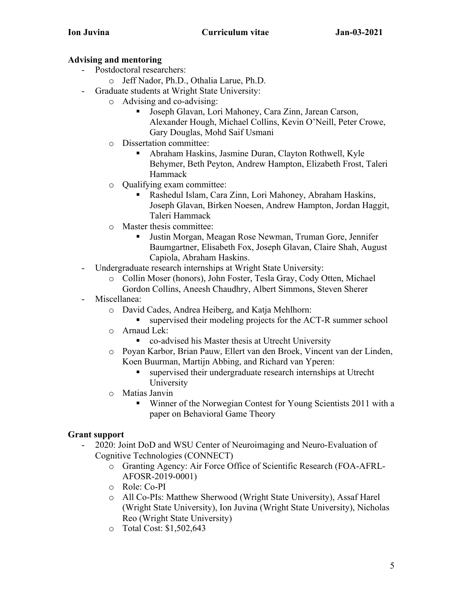## **Advising and mentoring**

- Postdoctoral researchers:
	- o Jeff Nador, Ph.D., Othalia Larue, Ph.D.
- Graduate students at Wright State University:
	- o Advising and co-advising:
		- Joseph Glavan, Lori Mahoney, Cara Zinn, Jarean Carson, Alexander Hough, Michael Collins, Kevin O'Neill, Peter Crowe, Gary Douglas, Mohd Saif Usmani
	- o Dissertation committee:
		- Abraham Haskins, Jasmine Duran, Clayton Rothwell, Kyle Behymer, Beth Peyton, Andrew Hampton, Elizabeth Frost, Taleri Hammack
	- o Qualifying exam committee:
		- Rashedul Islam, Cara Zinn, Lori Mahoney, Abraham Haskins, Joseph Glavan, Birken Noesen, Andrew Hampton, Jordan Haggit, Taleri Hammack
	- o Master thesis committee:
		- Justin Morgan, Meagan Rose Newman, Truman Gore, Jennifer Baumgartner, Elisabeth Fox, Joseph Glavan, Claire Shah, August Capiola, Abraham Haskins.
- Undergraduate research internships at Wright State University:
	- o Collin Moser (honors), John Foster, Tesla Gray, Cody Otten, Michael Gordon Collins, Aneesh Chaudhry, Albert Simmons, Steven Sherer
- Miscellanea:
	- o David Cades, Andrea Heiberg, and Katja Mehlhorn:
		- supervised their modeling projects for the ACT-R summer school
	- o Arnaud Lek:
		- co-advised his Master thesis at Utrecht University
	- o Poyan Karbor, Brian Pauw, Ellert van den Broek, Vincent van der Linden, Koen Buurman, Martijn Abbing, and Richard van Yperen:
		- § supervised their undergraduate research internships at Utrecht University
	- o Matias Janvin
		- Winner of the Norwegian Contest for Young Scientists 2011 with a paper on Behavioral Game Theory

# **Grant support**

- 2020: Joint DoD and WSU Center of Neuroimaging and Neuro-Evaluation of Cognitive Technologies (CONNECT)
	- o Granting Agency: Air Force Office of Scientific Research (FOA-AFRL-AFOSR-2019-0001)
	- o Role: Co-PI
	- o All Co-PIs: Matthew Sherwood (Wright State University), Assaf Harel (Wright State University), Ion Juvina (Wright State University), Nicholas Reo (Wright State University)
	- o Total Cost: \$1,502,643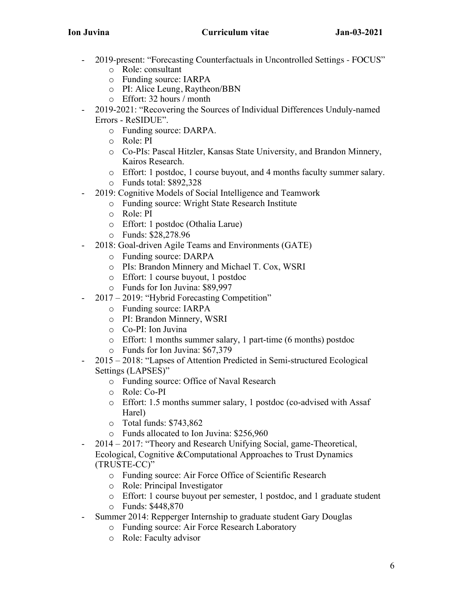- 2019-present: "Forecasting Counterfactuals in Uncontrolled Settings FOCUS" o Role: consultant
	- o Funding source: IARPA
	- o PI: Alice Leung, Raytheon/BBN
	- o Effort: 32 hours / month
- 2019-2021: "Recovering the Sources of Individual Differences Unduly-named Errors - ReSIDUE".
	- o Funding source: DARPA.
	- o Role: PI
	- o Co-PIs: Pascal Hitzler, Kansas State University, and Brandon Minnery, Kairos Research.
	- o Effort: 1 postdoc, 1 course buyout, and 4 months faculty summer salary.
	- o Funds total: \$892,328
- 2019: Cognitive Models of Social Intelligence and Teamwork
	- o Funding source: Wright State Research Institute
	- o Role: PI
	- o Effort: 1 postdoc (Othalia Larue)
	- o Funds: \$28,278.96
- 2018: Goal-driven Agile Teams and Environments (GATE)
	- o Funding source: DARPA
	- o PIs: Brandon Minnery and Michael T. Cox, WSRI
	- o Effort: 1 course buyout, 1 postdoc
	- o Funds for Ion Juvina: \$89,997
- 2017 2019: "Hybrid Forecasting Competition"
	- o Funding source: IARPA
	- o PI: Brandon Minnery, WSRI
	- o Co-PI: Ion Juvina
	- o Effort: 1 months summer salary, 1 part-time (6 months) postdoc
	- o Funds for Ion Juvina: \$67,379
- 2015 2018: "Lapses of Attention Predicted in Semi-structured Ecological Settings (LAPSES)"
	- o Funding source: Office of Naval Research
	- o Role: Co-PI
	- o Effort: 1.5 months summer salary, 1 postdoc (co-advised with Assaf Harel)
	- o Total funds: \$743,862
	- o Funds allocated to Ion Juvina: \$256,960
- 2014 2017: "Theory and Research Unifying Social, game-Theoretical, Ecological, Cognitive &Computational Approaches to Trust Dynamics (TRUSTE-CC)"
	- o Funding source: Air Force Office of Scientific Research
	- o Role: Principal Investigator
	- o Effort: 1 course buyout per semester, 1 postdoc, and 1 graduate student
	- o Funds: \$448,870
- Summer 2014: Repperger Internship to graduate student Gary Douglas
	- o Funding source: Air Force Research Laboratory
	- o Role: Faculty advisor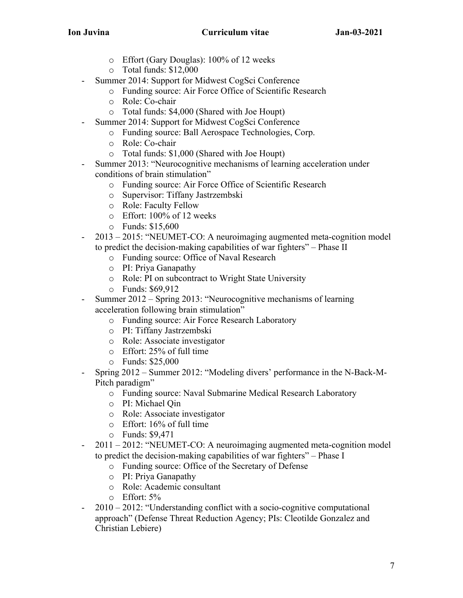- o Effort (Gary Douglas): 100% of 12 weeks
- o Total funds: \$12,000
- Summer 2014: Support for Midwest CogSci Conference
	- o Funding source: Air Force Office of Scientific Research
	- o Role: Co-chair
	- o Total funds: \$4,000 (Shared with Joe Houpt)
- Summer 2014: Support for Midwest CogSci Conference
	- o Funding source: Ball Aerospace Technologies, Corp.
	- o Role: Co-chair
	- o Total funds: \$1,000 (Shared with Joe Houpt)
- Summer 2013: "Neurocognitive mechanisms of learning acceleration under conditions of brain stimulation"
	- o Funding source: Air Force Office of Scientific Research
	- o Supervisor: Tiffany Jastrzembski
	- o Role: Faculty Fellow
	- o Effort: 100% of 12 weeks
	- o Funds: \$15,600
- 2013 2015: "NEUMET-CO: A neuroimaging augmented meta-cognition model to predict the decision-making capabilities of war fighters" – Phase II
	- o Funding source: Office of Naval Research
	- o PI: Priya Ganapathy
	- o Role: PI on subcontract to Wright State University
	- o Funds: \$69,912
- Summer 2012 Spring 2013: "Neurocognitive mechanisms of learning acceleration following brain stimulation"
	- o Funding source: Air Force Research Laboratory
	- o PI: Tiffany Jastrzembski
	- o Role: Associate investigator
	- o Effort: 25% of full time
	- o Funds: \$25,000
- Spring 2012 Summer 2012: "Modeling divers' performance in the N-Back-M-Pitch paradigm"
	- o Funding source: Naval Submarine Medical Research Laboratory
	- o PI: Michael Qin
	- o Role: Associate investigator
	- o Effort: 16% of full time
	- o Funds: \$9,471
- 2011 2012: "NEUMET-CO: A neuroimaging augmented meta-cognition model to predict the decision-making capabilities of war fighters" – Phase I
	- o Funding source: Office of the Secretary of Defense
	- o PI: Priya Ganapathy
	- o Role: Academic consultant
	- o Effort: 5%
- 2010 2012: "Understanding conflict with a socio-cognitive computational approach" (Defense Threat Reduction Agency; PIs: Cleotilde Gonzalez and Christian Lebiere)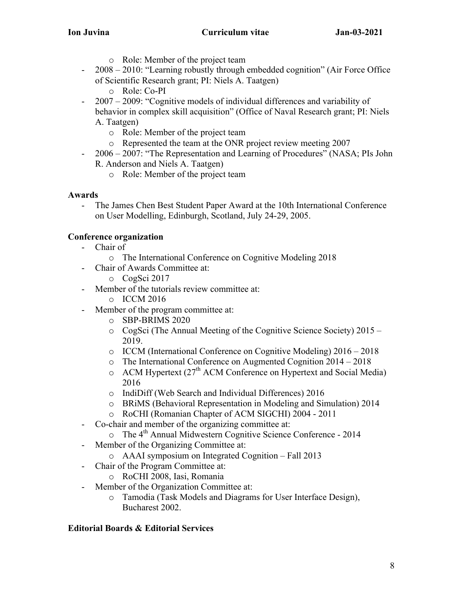- o Role: Member of the project team
- 2008 2010: "Learning robustly through embedded cognition" (Air Force Office of Scientific Research grant; PI: Niels A. Taatgen)
	- o Role: Co-PI
- 2007 2009: "Cognitive models of individual differences and variability of behavior in complex skill acquisition" (Office of Naval Research grant; PI: Niels A. Taatgen)
	- o Role: Member of the project team
	- o Represented the team at the ONR project review meeting 2007
- 2006 2007: "The Representation and Learning of Procedures" (NASA; PIs John R. Anderson and Niels A. Taatgen)
	- o Role: Member of the project team

## **Awards**

- The James Chen Best Student Paper Award at the 10th International Conference on User Modelling, Edinburgh, Scotland, July 24-29, 2005.

# **Conference organization**

- Chair of
	- o The International Conference on Cognitive Modeling 2018
- Chair of Awards Committee at:
	- o CogSci 2017
- Member of the tutorials review committee at:
	- o ICCM 2016
- Member of the program committee at:
	- o SBP-BRIMS 2020
	- o CogSci (The Annual Meeting of the Cognitive Science Society) 2015 2019.
	- o ICCM (International Conference on Cognitive Modeling) 2016 2018
	- o The International Conference on Augmented Cognition 2014 2018
	- $\circ$  ACM Hypertext (27<sup>th</sup> ACM Conference on Hypertext and Social Media) 2016
	- o IndiDiff (Web Search and Individual Differences) 2016
	- o BRiMS (Behavioral Representation in Modeling and Simulation) 2014
	- o RoCHI (Romanian Chapter of ACM SIGCHI) 2004 2011
- Co-chair and member of the organizing committee at:
	- $\circ$  The 4<sup>th</sup> Annual Midwestern Cognitive Science Conference 2014
- Member of the Organizing Committee at:
	- o AAAI symposium on Integrated Cognition Fall 2013
- Chair of the Program Committee at:
	- o RoCHI 2008, Iasi, Romania
- Member of the Organization Committee at:
	- o Tamodia (Task Models and Diagrams for User Interface Design), Bucharest 2002.

# **Editorial Boards & Editorial Services**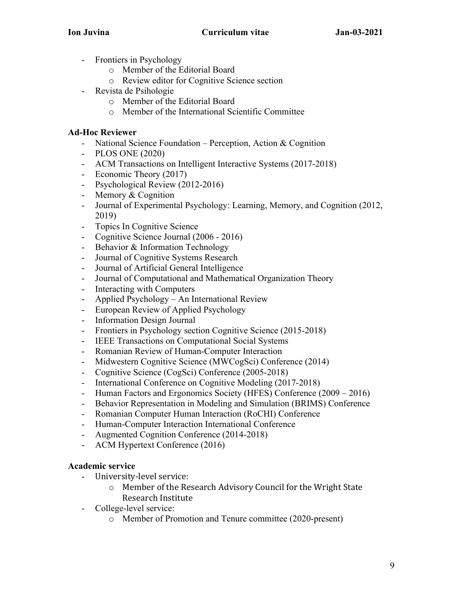- Frontiers in Psychology
	- o Member of the Editorial Board
	- o Review editor for Cognitive Science section
- Revista de Psihologie
	- o Member of the Editorial Board
	- o Member of the International Scientific Committee

### **Ad-Hoc Reviewer**

- National Science Foundation Perception, Action & Cognition
- PLOS ONE (2020)
- ACM Transactions on Intelligent Interactive Systems (2017-2018)
- Economic Theory (2017)
- Psychological Review (2012-2016)
- Memory & Cognition
- Journal of Experimental Psychology: Learning, Memory, and Cognition (2012, 2019)
- Topics In Cognitive Science
- Cognitive Science Journal (2006 2016)
- Behavior & Information Technology
- Journal of Cognitive Systems Research
- Journal of Artificial General Intelligence
- Journal of Computational and Mathematical Organization Theory
- Interacting with Computers
- Applied Psychology An International Review
- European Review of Applied Psychology
- Information Design Journal
- Frontiers in Psychology section Cognitive Science (2015-2018)
- IEEE Transactions on Computational Social Systems
- Romanian Review of Human-Computer Interaction
- Midwestern Cognitive Science (MWCogSci) Conference (2014)
- Cognitive Science (CogSci) Conference (2005-2018)
- International Conference on Cognitive Modeling (2017-2018)
- Human Factors and Ergonomics Society (HFES) Conference (2009 2016)
- Behavior Representation in Modeling and Simulation (BRIMS) Conference
- Romanian Computer Human Interaction (RoCHI) Conference
- Human-Computer Interaction International Conference
- Augmented Cognition Conference (2014-2018)
- ACM Hypertext Conference (2016)

### **Academic service**

- University-level service:
	- $\circ$  Member of the Research Advisory Council for the Wright State Research Institute
- College-level service:
	- o Member of Promotion and Tenure committee (2020-present)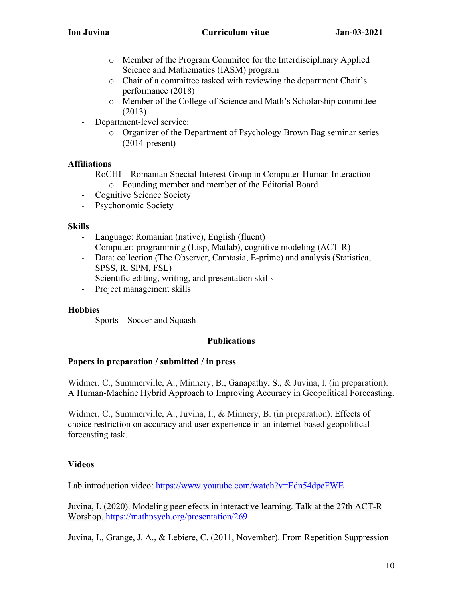- o Member of the Program Commitee for the Interdisciplinary Applied Science and Mathematics (IASM) program
- o Chair of a committee tasked with reviewing the department Chair's performance (2018)
- o Member of the College of Science and Math's Scholarship committee (2013)
- Department-level service:
	- o Organizer of the Department of Psychology Brown Bag seminar series (2014-present)

# **Affiliations**

- RoCHI Romanian Special Interest Group in Computer-Human Interaction o Founding member and member of the Editorial Board
- Cognitive Science Society
- Psychonomic Society

# **Skills**

- Language: Romanian (native), English (fluent)
- Computer: programming (Lisp, Matlab), cognitive modeling (ACT-R)
- Data: collection (The Observer, Camtasia, E-prime) and analysis (Statistica, SPSS, R, SPM, FSL)
- Scientific editing, writing, and presentation skills
- Project management skills

# **Hobbies**

- Sports – Soccer and Squash

# **Publications**

# **Papers in preparation / submitted / in press**

Widmer, C., Summerville, A., Minnery, B., Ganapathy, S., & Juvina, I. (in preparation). A Human-Machine Hybrid Approach to Improving Accuracy in Geopolitical Forecasting.

Widmer, C., Summerville, A., Juvina, I., & Minnery, B. (in preparation). Effects of choice restriction on accuracy and user experience in an internet-based geopolitical forecasting task.

# **Videos**

Lab introduction video: https://www.youtube.com/watch?v=Edn54dpeFWE

Juvina, I. (2020). Modeling peer efects in interactive learning. Talk at the 27th ACT-R Worshop. https://mathpsych.org/presentation/269

Juvina, I., Grange, J. A., & Lebiere, C. (2011, November). From Repetition Suppression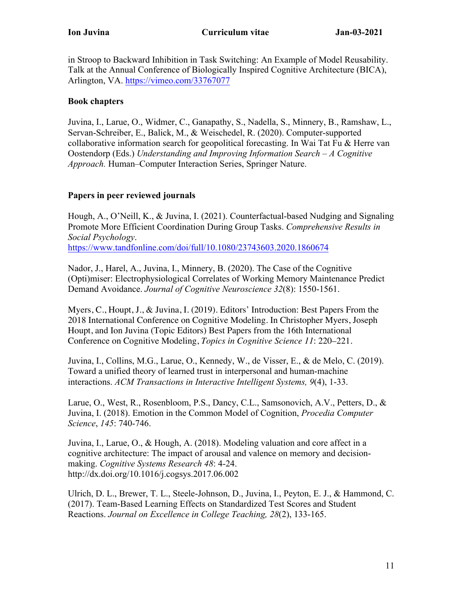in Stroop to Backward Inhibition in Task Switching: An Example of Model Reusability. Talk at the Annual Conference of Biologically Inspired Cognitive Architecture (BICA), Arlington, VA. https://vimeo.com/33767077

## **Book chapters**

Juvina, I., Larue, O., Widmer, C., Ganapathy, S., Nadella, S., Minnery, B., Ramshaw, L., Servan-Schreiber, E., Balick, M., & Weischedel, R. (2020). Computer-supported collaborative information search for geopolitical forecasting. In Wai Tat Fu & Herre van Oostendorp (Eds.) *Understanding and Improving Information Search – A Cognitive Approach.* Human–Computer Interaction Series, Springer Nature.

## **Papers in peer reviewed journals**

Hough, A., O'Neill, K., & Juvina, I. (2021). Counterfactual-based Nudging and Signaling Promote More Efficient Coordination During Group Tasks. *Comprehensive Results in Social Psychology*.

https://www.tandfonline.com/doi/full/10.1080/23743603.2020.1860674

Nador, J., Harel, A., Juvina, I., Minnery, B. (2020). The Case of the Cognitive (Opti)miser: Electrophysiological Correlates of Working Memory Maintenance Predict Demand Avoidance. *Journal of Cognitive Neuroscience 32*(8): 1550-1561.

Myers, C., Houpt, J., & Juvina, I. (2019). Editors' Introduction: Best Papers From the 2018 International Conference on Cognitive Modeling. In Christopher Myers, Joseph Houpt, and Ion Juvina (Topic Editors) Best Papers from the 16th International Conference on Cognitive Modeling, *Topics in Cognitive Science 11*: 220–221.

Juvina, I., Collins, M.G., Larue, O., Kennedy, W., de Visser, E., & de Melo, C. (2019). Toward a unified theory of learned trust in interpersonal and human-machine interactions. *ACM Transactions in Interactive Intelligent Systems, 9*(4), 1-33.

Larue, O., West, R., Rosenbloom, P.S., Dancy, C.L., Samsonovich, A.V., Petters, D., & Juvina, I. (2018). Emotion in the Common Model of Cognition, *Procedia Computer Science*, *145*: 740-746.

Juvina, I., Larue, O., & Hough, A. (2018). Modeling valuation and core affect in a cognitive architecture: The impact of arousal and valence on memory and decisionmaking. *Cognitive Systems Research 48*: 4-24. http://dx.doi.org/10.1016/j.cogsys.2017.06.002

Ulrich, D. L., Brewer, T. L., Steele-Johnson, D., Juvina, I., Peyton, E. J., & Hammond, C. (2017). Team-Based Learning Effects on Standardized Test Scores and Student Reactions. *Journal on Excellence in College Teaching, 28*(2), 133-165.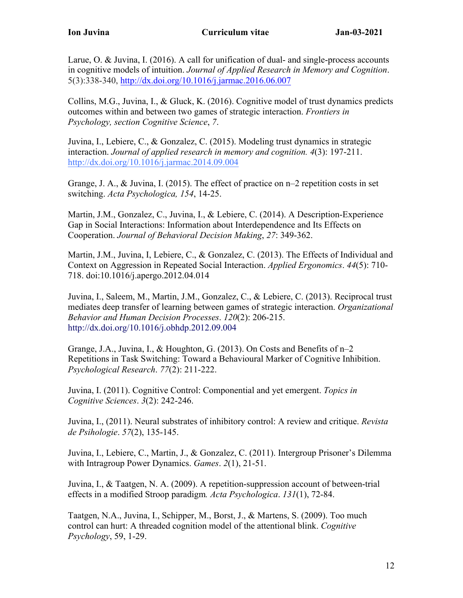Larue, O. & Juvina, I. (2016). A call for unification of dual- and single-process accounts in cognitive models of intuition. *Journal of Applied Research in Memory and Cognition*. 5(3):338-340, http://dx.doi.org/10.1016/j.jarmac.2016.06.007

Collins, M.G., Juvina, I., & Gluck, K. (2016). Cognitive model of trust dynamics predicts outcomes within and between two games of strategic interaction. *Frontiers in Psychology, section Cognitive Science*, *7*.

Juvina, I., Lebiere, C., & Gonzalez, C. (2015). Modeling trust dynamics in strategic interaction. *Journal of applied research in memory and cognition. 4*(3): 197-211. http://dx.doi.org/10.1016/j.jarmac.2014.09.004

Grange, J. A., & Juvina, I. (2015). The effect of practice on n–2 repetition costs in set switching. *Acta Psychologica, 154*, 14-25.

Martin, J.M., Gonzalez, C., Juvina, I., & Lebiere, C. (2014). A Description-Experience Gap in Social Interactions: Information about Interdependence and Its Effects on Cooperation. *Journal of Behavioral Decision Making*, *27*: 349-362.

Martin, J.M., Juvina, I, Lebiere, C., & Gonzalez, C. (2013). The Effects of Individual and Context on Aggression in Repeated Social Interaction. *Applied Ergonomics*. *44*(5): 710- 718. doi:10.1016/j.apergo.2012.04.014

Juvina, I., Saleem, M., Martin, J.M., Gonzalez, C., & Lebiere, C. (2013). Reciprocal trust mediates deep transfer of learning between games of strategic interaction. *Organizational Behavior and Human Decision Processes*. *120*(2): 206-215. http://dx.doi.org/10.1016/j.obhdp.2012.09.004

Grange, J.A., Juvina, I., & Houghton, G. (2013). On Costs and Benefits of n–2 Repetitions in Task Switching: Toward a Behavioural Marker of Cognitive Inhibition. *Psychological Research*. *77*(2): 211-222.

Juvina, I. (2011). Cognitive Control: Componential and yet emergent. *Topics in Cognitive Sciences*. *3*(2): 242-246.

Juvina, I., (2011). Neural substrates of inhibitory control: A review and critique. *Revista de Psihologie*. *57*(2), 135-145.

Juvina, I., Lebiere, C., Martin, J., & Gonzalez, C. (2011). Intergroup Prisoner's Dilemma with Intragroup Power Dynamics. *Games*. *2*(1), 21-51.

Juvina, I., & Taatgen, N. A. (2009). A repetition-suppression account of between-trial effects in a modified Stroop paradigm*. Acta Psychologica*. *131*(1), 72-84.

Taatgen, N.A., Juvina, I., Schipper, M., Borst, J., & Martens, S. (2009). Too much control can hurt: A threaded cognition model of the attentional blink. *Cognitive Psychology*, 59, 1-29.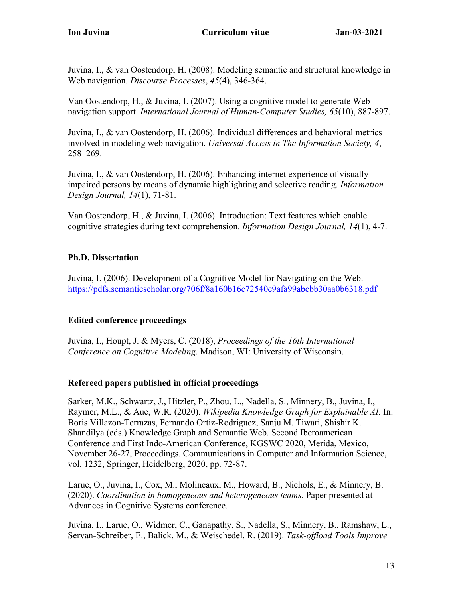Juvina, I., & van Oostendorp, H. (2008). Modeling semantic and structural knowledge in Web navigation. *Discourse Processes*, *45*(4), 346-364.

Van Oostendorp, H., & Juvina, I. (2007). Using a cognitive model to generate Web navigation support. *International Journal of Human-Computer Studies, 65*(10), 887-897.

Juvina, I., & van Oostendorp, H. (2006). Individual differences and behavioral metrics involved in modeling web navigation. *Universal Access in The Information Society, 4*, 258–269.

Juvina, I., & van Oostendorp, H. (2006). Enhancing internet experience of visually impaired persons by means of dynamic highlighting and selective reading. *Information Design Journal, 14*(1), 71-81.

Van Oostendorp, H., & Juvina, I. (2006). Introduction: Text features which enable cognitive strategies during text comprehension. *Information Design Journal, 14*(1), 4-7.

## **Ph.D. Dissertation**

Juvina, I. (2006). Development of a Cognitive Model for Navigating on the Web. https://pdfs.semanticscholar.org/706f/8a160b16c72540c9afa99abcbb30aa0b6318.pdf

## **Edited conference proceedings**

Juvina, I., Houpt, J. & Myers, C. (2018), *Proceedings of the 16th International Conference on Cognitive Modeling*. Madison, WI: University of Wisconsin.

# **Refereed papers published in official proceedings**

Sarker, M.K., Schwartz, J., Hitzler, P., Zhou, L., Nadella, S., Minnery, B., Juvina, I., Raymer, M.L., & Aue, W.R. (2020). *Wikipedia Knowledge Graph for Explainable AI.* In: Boris Villazon-Terrazas, Fernando Ortiz-Rodriguez, Sanju M. Tiwari, Shishir K. Shandilya (eds.) Knowledge Graph and Semantic Web. Second Iberoamerican Conference and First Indo-American Conference, KGSWC 2020, Merida, Mexico, November 26-27, Proceedings. Communications in Computer and Information Science, vol. 1232, Springer, Heidelberg, 2020, pp. 72-87.

Larue, O., Juvina, I., Cox, M., Molineaux, M., Howard, B., Nichols, E., & Minnery, B. (2020). *Coordination in homogeneous and heterogeneous teams*. Paper presented at Advances in Cognitive Systems conference.

Juvina, I., Larue, O., Widmer, C., Ganapathy, S., Nadella, S., Minnery, B., Ramshaw, L., Servan-Schreiber, E., Balick, M., & Weischedel, R. (2019). *Task-offload Tools Improve*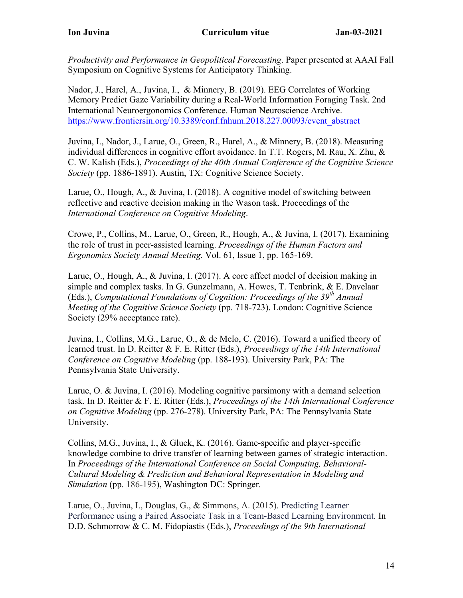*Productivity and Performance in Geopolitical Forecasting*. Paper presented at AAAI Fall Symposium on Cognitive Systems for Anticipatory Thinking.

Nador, J., Harel, A., Juvina, I., & Minnery, B. (2019). EEG Correlates of Working Memory Predict Gaze Variability during a Real-World Information Foraging Task. 2nd International Neuroergonomics Conference. Human Neuroscience Archive. https://www.frontiersin.org/10.3389/conf.fnhum.2018.227.00093/event\_abstract

Juvina, I., Nador, J., Larue, O., Green, R., Harel, A., & Minnery, B. (2018). Measuring individual differences in cognitive effort avoidance. In T.T. Rogers, M. Rau, X. Zhu, & C. W. Kalish (Eds.), *Proceedings of the 40th Annual Conference of the Cognitive Science Society* (pp. 1886-1891). Austin, TX: Cognitive Science Society.

Larue, O., Hough, A., & Juvina, I. (2018). A cognitive model of switching between reflective and reactive decision making in the Wason task. Proceedings of the *International Conference on Cognitive Modeling*.

Crowe, P., Collins, M., Larue, O., Green, R., Hough, A., & Juvina, I. (2017). Examining the role of trust in peer-assisted learning. *Proceedings of the Human Factors and Ergonomics Society Annual Meeting.* Vol. 61, Issue 1, pp. 165-169.

Larue, O., Hough, A., & Juvina, I. (2017). A core affect model of decision making in simple and complex tasks. In G. Gunzelmann, A. Howes, T. Tenbrink, & E. Davelaar (Eds.), *Computational Foundations of Cognition: Proceedings of the 39th Annual Meeting of the Cognitive Science Society* (pp. 718-723). London: Cognitive Science Society (29% acceptance rate).

Juvina, I., Collins, M.G., Larue, O., & de Melo, C. (2016). Toward a unified theory of learned trust. In D. Reitter & F. E. Ritter (Eds.), *Proceedings of the 14th International Conference on Cognitive Modeling* (pp. 188-193). University Park, PA: The Pennsylvania State University.

Larue, O. & Juvina, I. (2016). Modeling cognitive parsimony with a demand selection task. In D. Reitter & F. E. Ritter (Eds.), *Proceedings of the 14th International Conference on Cognitive Modeling* (pp. 276-278). University Park, PA: The Pennsylvania State University.

Collins, M.G., Juvina, I., & Gluck, K. (2016). Game-specific and player-specific knowledge combine to drive transfer of learning between games of strategic interaction. In *Proceedings of the International Conference on Social Computing, Behavioral-Cultural Modeling & Prediction and Behavioral Representation in Modeling and Simulation* (pp. 186-195), Washington DC: Springer.

Larue, O., Juvina, I., Douglas, G., & Simmons, A. (2015). Predicting Learner Performance using a Paired Associate Task in a Team-Based Learning Environment*.* In D.D. Schmorrow & C. M. Fidopiastis (Eds.), *Proceedings of the 9th International*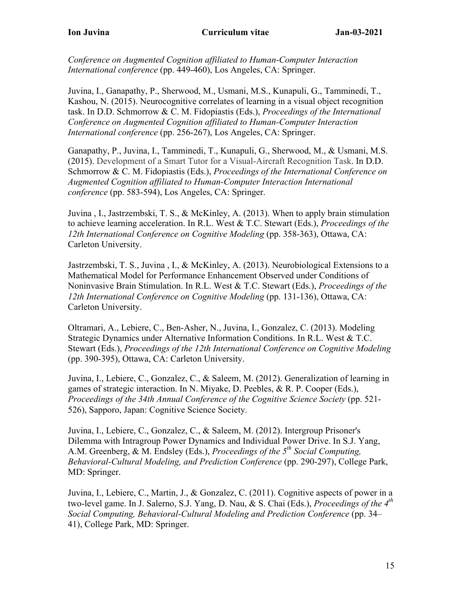*Conference on Augmented Cognition affiliated to Human-Computer Interaction International conference* (pp. 449-460), Los Angeles, CA: Springer.

Juvina, I., Ganapathy, P., Sherwood, M., Usmani, M.S., Kunapuli, G., Tamminedi, T., Kashou, N. (2015). Neurocognitive correlates of learning in a visual object recognition task. In D.D. Schmorrow & C. M. Fidopiastis (Eds.), *Proceedings of the International Conference on Augmented Cognition affiliated to Human-Computer Interaction International conference* (pp. 256-267), Los Angeles, CA: Springer.

Ganapathy, P., Juvina, I., Tamminedi, T., Kunapuli, G., Sherwood, M., & Usmani, M.S. (2015). Development of a Smart Tutor for a Visual-Aircraft Recognition Task. In D.D. Schmorrow & C. M. Fidopiastis (Eds.), *Proceedings of the International Conference on Augmented Cognition affiliated to Human-Computer Interaction International conference* (pp. 583-594), Los Angeles, CA: Springer.

Juvina , I., Jastrzembski, T. S., & McKinley, A. (2013). When to apply brain stimulation to achieve learning acceleration. In R.L. West & T.C. Stewart (Eds.), *Proceedings of the 12th International Conference on Cognitive Modeling* (pp. 358-363), Ottawa, CA: Carleton University.

Jastrzembski, T. S., Juvina , I., & McKinley, A. (2013). Neurobiological Extensions to a Mathematical Model for Performance Enhancement Observed under Conditions of Noninvasive Brain Stimulation. In R.L. West & T.C. Stewart (Eds.), *Proceedings of the 12th International Conference on Cognitive Modeling* (pp. 131-136), Ottawa, CA: Carleton University.

Oltramari, A., Lebiere, C., Ben-Asher, N., Juvina, I., Gonzalez, C. (2013). Modeling Strategic Dynamics under Alternative Information Conditions. In R.L. West & T.C. Stewart (Eds.), *Proceedings of the 12th International Conference on Cognitive Modeling* (pp. 390-395), Ottawa, CA: Carleton University.

Juvina, I., Lebiere, C., Gonzalez, C., & Saleem, M. (2012). Generalization of learning in games of strategic interaction. In N. Miyake, D. Peebles, & R. P. Cooper (Eds.), *Proceedings of the 34th Annual Conference of the Cognitive Science Society (pp. 521-*526), Sapporo, Japan: Cognitive Science Society.

Juvina, I., Lebiere, C., Gonzalez, C., & Saleem, M. (2012). Intergroup Prisoner's Dilemma with Intragroup Power Dynamics and Individual Power Drive. In S.J. Yang, A.M. Greenberg, & M. Endsley (Eds.), *Proceedings of the 5th Social Computing, Behavioral-Cultural Modeling, and Prediction Conference* (pp. 290-297), College Park, MD: Springer.

Juvina, I., Lebiere, C., Martin, J., & Gonzalez, C. (2011). Cognitive aspects of power in a two-level game. In J. Salerno, S.J. Yang, D. Nau, & S. Chai (Eds.), *Proceedings of the 4th Social Computing, Behavioral-Cultural Modeling and Prediction Conference* (pp. 34– 41), College Park, MD: Springer.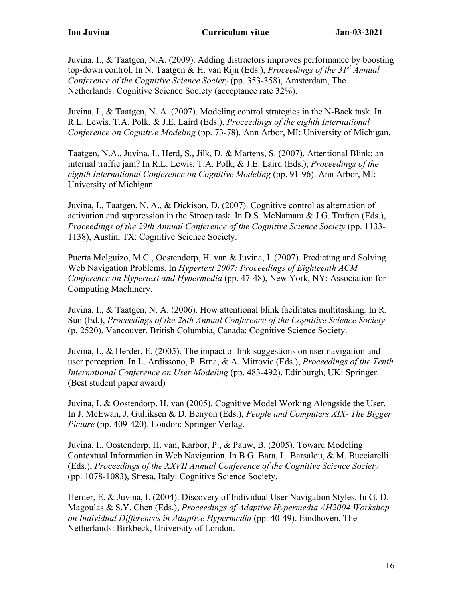Juvina, I., & Taatgen, N.A. (2009). Adding distractors improves performance by boosting top-down control. In N. Taatgen & H. van Rijn (Eds.), *Proceedings of the 31st Annual Conference of the Cognitive Science Society* (pp. 353-358), Amsterdam, The Netherlands: Cognitive Science Society (acceptance rate 32%).

Juvina, I., & Taatgen, N. A. (2007). Modeling control strategies in the N-Back task*.* In R.L. Lewis, T.A. Polk, & J.E. Laird (Eds.), *Proceedings of the eighth International Conference on Cognitive Modeling* (pp. 73-78). Ann Arbor, MI: University of Michigan.

Taatgen, N.A., Juvina, I., Herd, S., Jilk, D. & Martens, S. (2007). Attentional Blink: an internal traffic jam? In R.L. Lewis, T.A. Polk, & J.E. Laird (Eds.), *Proceedings of the eighth International Conference on Cognitive Modeling* (pp. 91-96). Ann Arbor, MI: University of Michigan.

Juvina, I., Taatgen, N. A., & Dickison, D. (2007). Cognitive control as alternation of activation and suppression in the Stroop task*.* In D.S. McNamara & J.G. Trafton (Eds.), *Proceedings of the 29th Annual Conference of the Cognitive Science Society* (pp. 1133- 1138), Austin, TX: Cognitive Science Society.

Puerta Melguizo, M.C., Oostendorp, H. van & Juvina, I. (2007). Predicting and Solving Web Navigation Problems. In *Hypertext 2007: Proceedings of Eighteenth ACM Conference on Hypertext and Hypermedia* (pp. 47-48), New York, NY: Association for Computing Machinery.

Juvina, I., & Taatgen, N. A. (2006). How attentional blink facilitates multitasking*.* In R. Sun (Ed.), *Proceedings of the 28th Annual Conference of the Cognitive Science Society*  (p. 2520), Vancouver, British Columbia, Canada: Cognitive Science Society.

Juvina, I., & Herder, E. (2005). The impact of link suggestions on user navigation and user perception*.* In L. Ardissono, P. Brna, & A. Mitrovic (Eds.), *Proceedings of the Tenth International Conference on User Modeling* (pp. 483-492), Edinburgh, UK: Springer. (Best student paper award)

Juvina, I. & Oostendorp, H. van (2005). Cognitive Model Working Alongside the User. In J. McEwan, J. Gulliksen & D. Benyon (Eds.), *People and Computers XIX- The Bigger Picture* (pp. 409-420). London: Springer Verlag.

Juvina, I., Oostendorp, H. van, Karbor, P., & Pauw, B. (2005). Toward Modeling Contextual Information in Web Navigation*.* In B.G. Bara, L. Barsalou, & M. Bucciarelli (Eds.), *Proceedings of the XXVII Annual Conference of the Cognitive Science Society*  (pp. 1078-1083), Stresa, Italy: Cognitive Science Society.

Herder, E. & Juvina, I. (2004). Discovery of Individual User Navigation Styles. In G. D. Magoulas & S.Y. Chen (Eds.), *Proceedings of Adaptive Hypermedia AH2004 Workshop on Individual Differences in Adaptive Hypermedia* (pp. 40-49). Eindhoven, The Netherlands: Birkbeck, University of London.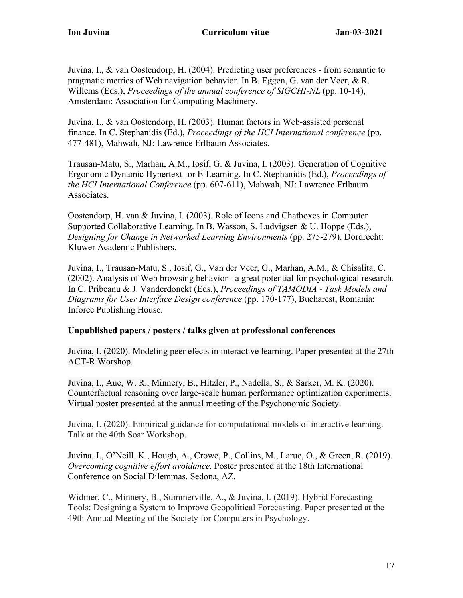Juvina, I., & van Oostendorp, H. (2004). Predicting user preferences - from semantic to pragmatic metrics of Web navigation behavior. In B. Eggen, G. van der Veer, & R. Willems (Eds.), *Proceedings of the annual conference of SIGCHI-NL* (pp. 10-14), Amsterdam: Association for Computing Machinery.

Juvina, I., & van Oostendorp, H. (2003). Human factors in Web-assisted personal finance*.* In C. Stephanidis (Ed.), *Proceedings of the HCI International conference* (pp. 477-481), Mahwah, NJ: Lawrence Erlbaum Associates.

Trausan-Matu, S., Marhan, A.M., Iosif, G. & Juvina, I. (2003). Generation of Cognitive Ergonomic Dynamic Hypertext for E-Learning. In C. Stephanidis (Ed.), *Proceedings of the HCI International Conference* (pp. 607-611), Mahwah, NJ: Lawrence Erlbaum Associates.

Oostendorp, H. van & Juvina, I. (2003). Role of Icons and Chatboxes in Computer Supported Collaborative Learning. In B. Wasson, S. Ludvigsen & U. Hoppe (Eds.), *Designing for Change in Networked Learning Environments* (pp. 275-279). Dordrecht: Kluwer Academic Publishers.

Juvina, I., Trausan-Matu, S., Iosif, G., Van der Veer, G., Marhan, A.M., & Chisalita, C. (2002). Analysis of Web browsing behavior - a great potential for psychological research*.* In C. Pribeanu & J. Vanderdonckt (Eds.), *Proceedings of TAMODIA - Task Models and Diagrams for User Interface Design conference* (pp. 170-177), Bucharest, Romania: Inforec Publishing House.

## **Unpublished papers / posters / talks given at professional conferences**

Juvina, I. (2020). Modeling peer efects in interactive learning. Paper presented at the 27th ACT-R Worshop.

Juvina, I., Aue, W. R., Minnery, B., Hitzler, P., Nadella, S., & Sarker, M. K. (2020). Counterfactual reasoning over large-scale human performance optimization experiments. Virtual poster presented at the annual meeting of the Psychonomic Society.

Juvina, I. (2020). Empirical guidance for computational models of interactive learning. Talk at the 40th Soar Workshop.

Juvina, I., O'Neill, K., Hough, A., Crowe, P., Collins, M., Larue, O., & Green, R. (2019). *Overcoming cognitive effort avoidance.* Poster presented at the 18th International Conference on Social Dilemmas. Sedona, AZ.

Widmer, C., Minnery, B., Summerville, A., & Juvina, I. (2019). Hybrid Forecasting Tools: Designing a System to Improve Geopolitical Forecasting. Paper presented at the 49th Annual Meeting of the Society for Computers in Psychology.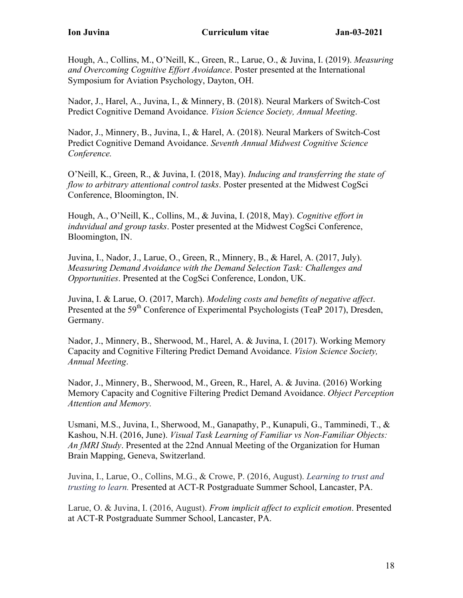Hough, A., Collins, M., O'Neill, K., Green, R., Larue, O., & Juvina, I. (2019). *Measuring and Overcoming Cognitive Effort Avoidance*. Poster presented at the International Symposium for Aviation Psychology, Dayton, OH.

Nador, J., Harel, A., Juvina, I., & Minnery, B. (2018). Neural Markers of Switch-Cost Predict Cognitive Demand Avoidance. *Vision Science Society, Annual Meeting*.

Nador, J., Minnery, B., Juvina, I., & Harel, A. (2018). Neural Markers of Switch-Cost Predict Cognitive Demand Avoidance. *Seventh Annual Midwest Cognitive Science Conference.*

O'Neill, K., Green, R., & Juvina, I. (2018, May). *Inducing and transferring the state of flow to arbitrary attentional control tasks*. Poster presented at the Midwest CogSci Conference, Bloomington, IN.

Hough, A., O'Neill, K., Collins, M., & Juvina, I. (2018, May). *Cognitive effort in induvidual and group tasks*. Poster presented at the Midwest CogSci Conference, Bloomington, IN.

Juvina, I., Nador, J., Larue, O., Green, R., Minnery, B., & Harel, A. (2017, July). *Measuring Demand Avoidance with the Demand Selection Task: Challenges and Opportunities*. Presented at the CogSci Conference, London, UK.

Juvina, I. & Larue, O. (2017, March). *Modeling costs and benefits of negative affect*. Presented at the 59<sup>th</sup> Conference of Experimental Psychologists (TeaP 2017), Dresden, Germany.

Nador, J., Minnery, B., Sherwood, M., Harel, A. & Juvina, I. (2017). Working Memory Capacity and Cognitive Filtering Predict Demand Avoidance. *Vision Science Society, Annual Meeting*.

Nador, J., Minnery, B., Sherwood, M., Green, R., Harel, A. & Juvina. (2016) Working Memory Capacity and Cognitive Filtering Predict Demand Avoidance. *Object Perception Attention and Memory.*

Usmani, M.S., Juvina, I., Sherwood, M., Ganapathy, P., Kunapuli, G., Tamminedi, T., & Kashou, N.H. (2016, June). *Visual Task Learning of Familiar vs Non-Familiar Objects: An fMRI Study*. Presented at the 22nd Annual Meeting of the Organization for Human Brain Mapping, Geneva, Switzerland.

Juvina, I., Larue, O., Collins, M.G., & Crowe, P. (2016, August). *Learning to trust and trusting to learn.* Presented at ACT-R Postgraduate Summer School, Lancaster, PA.

Larue, O. & Juvina, I. (2016, August). *From implicit affect to explicit emotion*. Presented at ACT-R Postgraduate Summer School, Lancaster, PA.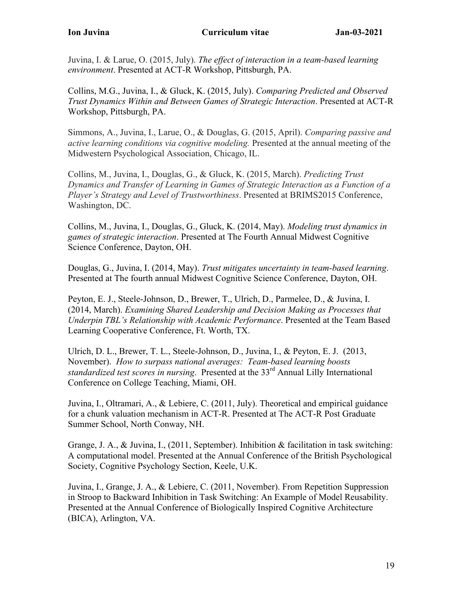Juvina, I. & Larue, O. (2015, July). *The effect of interaction in a team-based learning environment*. Presented at ACT-R Workshop, Pittsburgh, PA.

Collins, M.G., Juvina, I., & Gluck, K. (2015, July). *Comparing Predicted and Observed Trust Dynamics Within and Between Games of Strategic Interaction*. Presented at ACT-R Workshop, Pittsburgh, PA.

Simmons, A., Juvina, I., Larue, O., & Douglas, G. (2015, April). *Comparing passive and active learning conditions via cognitive modeling.* Presented at the annual meeting of the Midwestern Psychological Association, Chicago, IL.

Collins, M., Juvina, I., Douglas, G., & Gluck, K. (2015, March). *Predicting Trust Dynamics and Transfer of Learning in Games of Strategic Interaction as a Function of a Player's Strategy and Level of Trustworthiness*. Presented at BRIMS2015 Conference, Washington, DC.

Collins, M., Juvina, I., Douglas, G., Gluck, K. (2014, May). *Modeling trust dynamics in games of strategic interaction*. Presented at The Fourth Annual Midwest Cognitive Science Conference, Dayton, OH.

Douglas, G., Juvina, I. (2014, May). *Trust mitigates uncertainty in team-based learning*. Presented at The fourth annual Midwest Cognitive Science Conference, Dayton, OH.

Peyton, E. J., Steele-Johnson, D., Brewer, T., Ulrich, D., Parmelee, D., & Juvina, I. (2014, March). *Examining Shared Leadership and Decision Making as Processes that Underpin TBL's Relationship with Academic Performance*. Presented at the Team Based Learning Cooperative Conference, Ft. Worth, TX.

Ulrich, D. L., Brewer, T. L., Steele-Johnson, D., Juvina, I., & Peyton, E. J. (2013, November). *How to surpass national averages: Team-based learning boosts standardized test scores in nursing.* Presented at the 33<sup>rd</sup> Annual Lilly International Conference on College Teaching, Miami, OH.

Juvina, I., Oltramari, A., & Lebiere, C. (2011, July). Theoretical and empirical guidance for a chunk valuation mechanism in ACT-R. Presented at The ACT-R Post Graduate Summer School, North Conway, NH.

Grange, J. A., & Juvina, I.,  $(2011,$  September). Inhibition & facilitation in task switching: A computational model. Presented at the Annual Conference of the British Psychological Society, Cognitive Psychology Section, Keele, U.K.

Juvina, I., Grange, J. A., & Lebiere, C. (2011, November). From Repetition Suppression in Stroop to Backward Inhibition in Task Switching: An Example of Model Reusability. Presented at the Annual Conference of Biologically Inspired Cognitive Architecture (BICA), Arlington, VA.